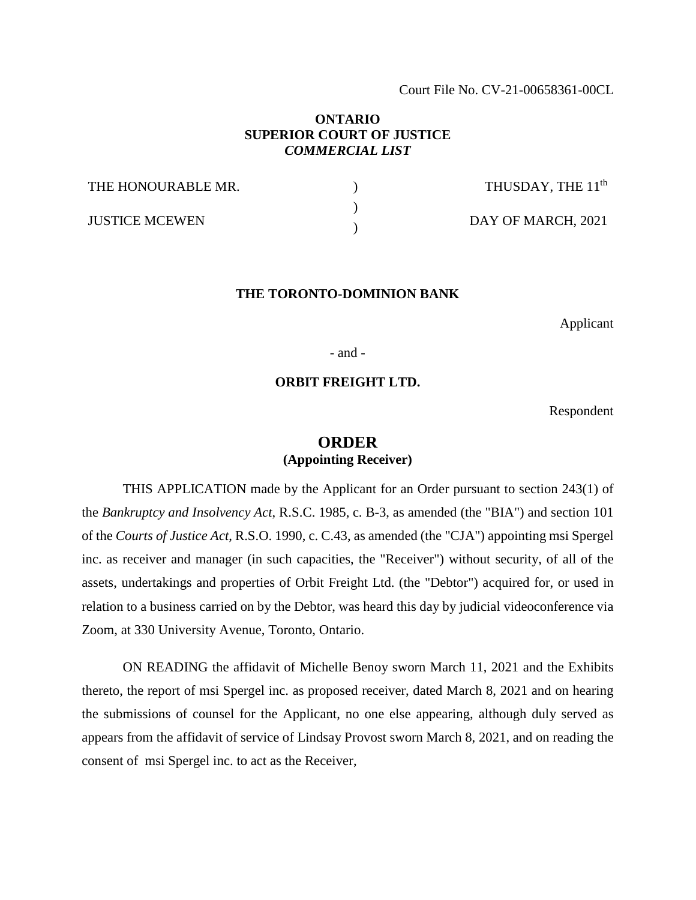Court File No. CV-21-00658361-00CL

## **ONTARIO SUPERIOR COURT OF JUSTICE**  *COMMERCIAL LIST*

| THE HONOURABLE MR.    | THUSDAY, THE 11 <sup>th</sup> |
|-----------------------|-------------------------------|
| <b>JUSTICE MCEWEN</b> | DAY OF MARCH, 2021            |

#### **THE TORONTO-DOMINION BANK**

Applicant

- and -

## **ORBIT FREIGHT LTD.**

Respondent

# **ORDER (Appointing Receiver)**

THIS APPLICATION made by the Applicant for an Order pursuant to section 243(1) of the *Bankruptcy and Insolvency Act*, R.S.C. 1985, c. B-3, as amended (the "BIA") and section 101 of the *Courts of Justice Act*, R.S.O. 1990, c. C.43, as amended (the "CJA") appointing msi Spergel inc. as receiver and manager (in such capacities, the "Receiver") without security, of all of the assets, undertakings and properties of Orbit Freight Ltd. (the "Debtor") acquired for, or used in relation to a business carried on by the Debtor, was heard this day by judicial videoconference via Zoom, at 330 University Avenue, Toronto, Ontario.

ON READING the affidavit of Michelle Benoy sworn March 11, 2021 and the Exhibits thereto, the report of msi Spergel inc. as proposed receiver, dated March 8, 2021 and on hearing the submissions of counsel for the Applicant, no one else appearing, although duly served as appears from the affidavit of service of Lindsay Provost sworn March 8, 2021, and on reading the consent of msi Spergel inc. to act as the Receiver,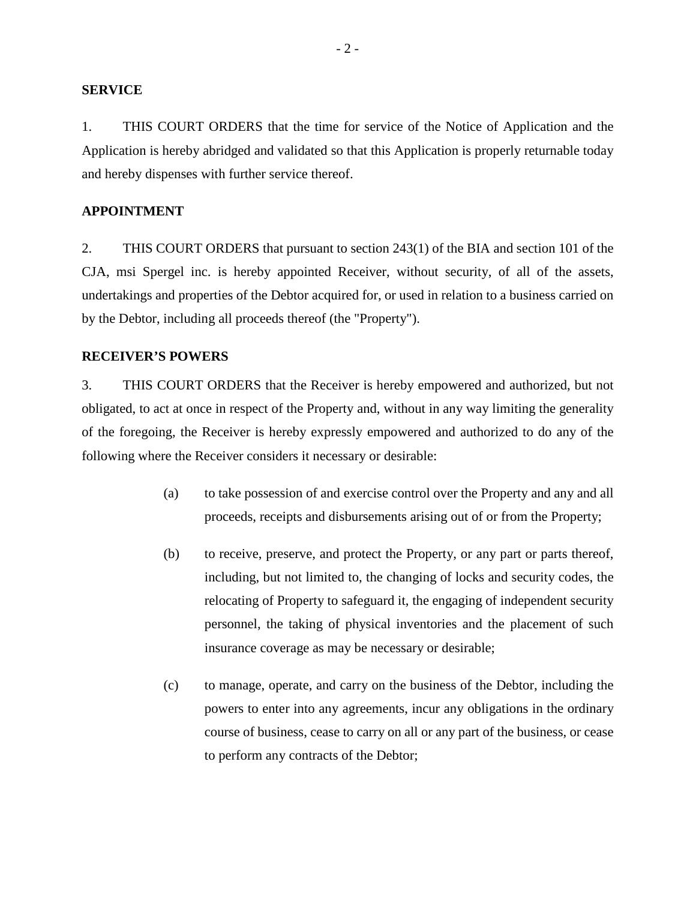### **SERVICE**

1. THIS COURT ORDERS that the time for service of the Notice of Application and the Application is hereby abridged and validated so that this Application is properly returnable today and hereby dispenses with further service thereof.

### **APPOINTMENT**

2. THIS COURT ORDERS that pursuant to section 243(1) of the BIA and section 101 of the CJA, msi Spergel inc. is hereby appointed Receiver, without security, of all of the assets, undertakings and properties of the Debtor acquired for, or used in relation to a business carried on by the Debtor, including all proceeds thereof (the "Property").

## **RECEIVER'S POWERS**

3. THIS COURT ORDERS that the Receiver is hereby empowered and authorized, but not obligated, to act at once in respect of the Property and, without in any way limiting the generality of the foregoing, the Receiver is hereby expressly empowered and authorized to do any of the following where the Receiver considers it necessary or desirable:

- (a) to take possession of and exercise control over the Property and any and all proceeds, receipts and disbursements arising out of or from the Property;
- (b) to receive, preserve, and protect the Property, or any part or parts thereof, including, but not limited to, the changing of locks and security codes, the relocating of Property to safeguard it, the engaging of independent security personnel, the taking of physical inventories and the placement of such insurance coverage as may be necessary or desirable;
- (c) to manage, operate, and carry on the business of the Debtor, including the powers to enter into any agreements, incur any obligations in the ordinary course of business, cease to carry on all or any part of the business, or cease to perform any contracts of the Debtor;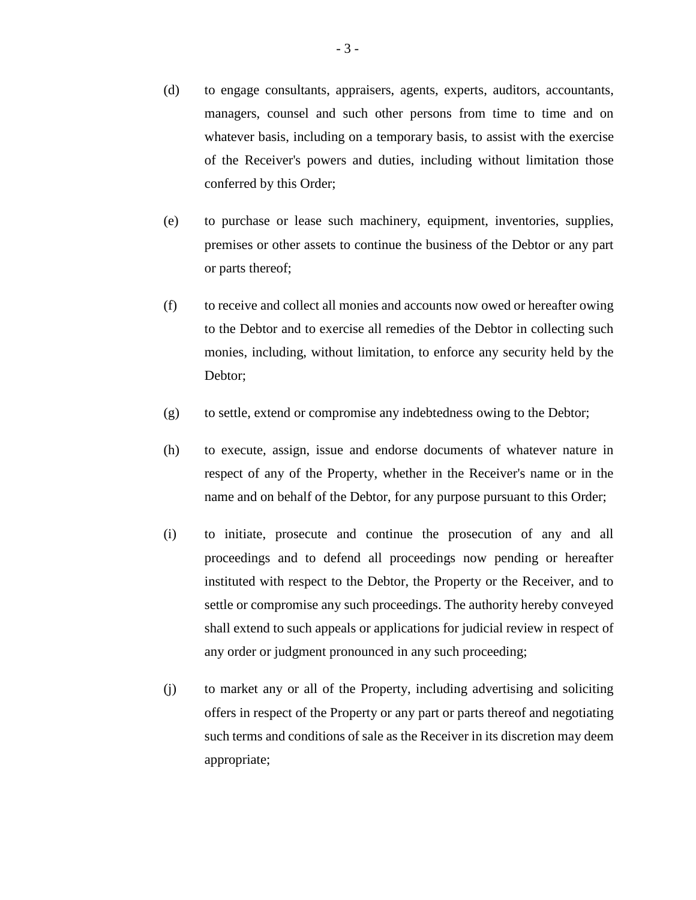- (d) to engage consultants, appraisers, agents, experts, auditors, accountants, managers, counsel and such other persons from time to time and on whatever basis, including on a temporary basis, to assist with the exercise of the Receiver's powers and duties, including without limitation those conferred by this Order;
- (e) to purchase or lease such machinery, equipment, inventories, supplies, premises or other assets to continue the business of the Debtor or any part or parts thereof;
- (f) to receive and collect all monies and accounts now owed or hereafter owing to the Debtor and to exercise all remedies of the Debtor in collecting such monies, including, without limitation, to enforce any security held by the Debtor;
- (g) to settle, extend or compromise any indebtedness owing to the Debtor;
- (h) to execute, assign, issue and endorse documents of whatever nature in respect of any of the Property, whether in the Receiver's name or in the name and on behalf of the Debtor, for any purpose pursuant to this Order;
- (i) to initiate, prosecute and continue the prosecution of any and all proceedings and to defend all proceedings now pending or hereafter instituted with respect to the Debtor, the Property or the Receiver, and to settle or compromise any such proceedings. The authority hereby conveyed shall extend to such appeals or applications for judicial review in respect of any order or judgment pronounced in any such proceeding;
- (j) to market any or all of the Property, including advertising and soliciting offers in respect of the Property or any part or parts thereof and negotiating such terms and conditions of sale as the Receiver in its discretion may deem appropriate;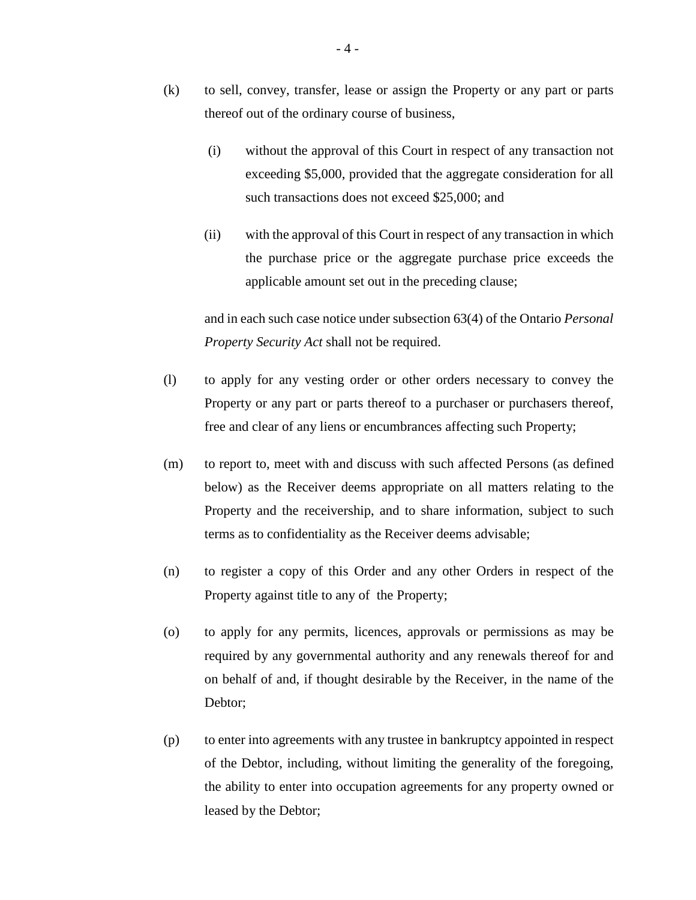- (k) to sell, convey, transfer, lease or assign the Property or any part or parts thereof out of the ordinary course of business,
	- (i) without the approval of this Court in respect of any transaction not exceeding \$5,000, provided that the aggregate consideration for all such transactions does not exceed \$25,000; and
	- (ii) with the approval of this Court in respect of any transaction in which the purchase price or the aggregate purchase price exceeds the applicable amount set out in the preceding clause;

and in each such case notice under subsection 63(4) of the Ontario *Personal Property Security Act* shall not be required.

- (l) to apply for any vesting order or other orders necessary to convey the Property or any part or parts thereof to a purchaser or purchasers thereof, free and clear of any liens or encumbrances affecting such Property;
- (m) to report to, meet with and discuss with such affected Persons (as defined below) as the Receiver deems appropriate on all matters relating to the Property and the receivership, and to share information, subject to such terms as to confidentiality as the Receiver deems advisable;
- (n) to register a copy of this Order and any other Orders in respect of the Property against title to any of the Property;
- (o) to apply for any permits, licences, approvals or permissions as may be required by any governmental authority and any renewals thereof for and on behalf of and, if thought desirable by the Receiver, in the name of the Debtor;
- (p) to enter into agreements with any trustee in bankruptcy appointed in respect of the Debtor, including, without limiting the generality of the foregoing, the ability to enter into occupation agreements for any property owned or leased by the Debtor;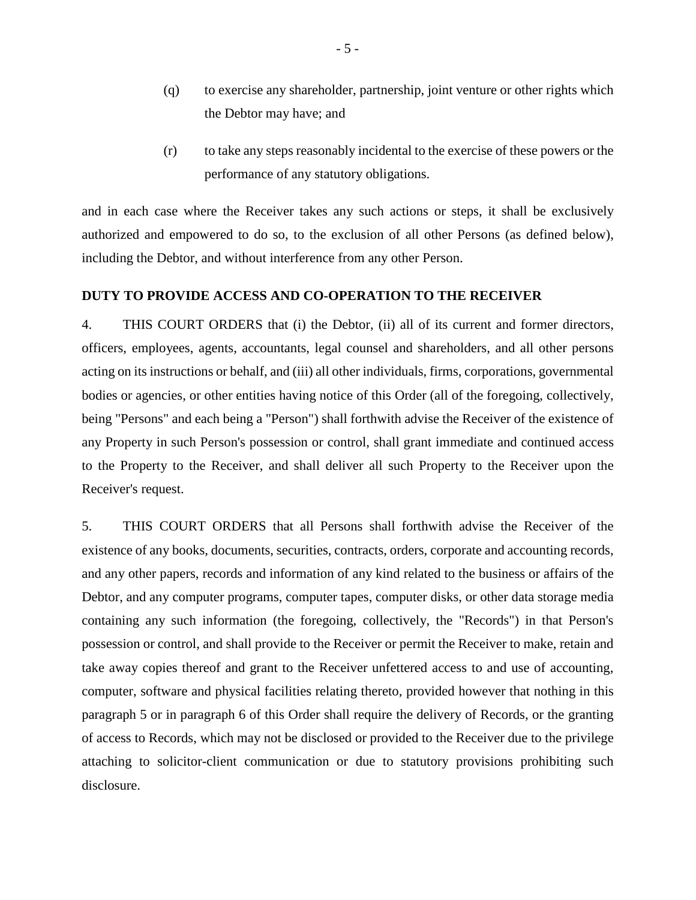- (q) to exercise any shareholder, partnership, joint venture or other rights which the Debtor may have; and
- (r) to take any steps reasonably incidental to the exercise of these powers or the performance of any statutory obligations.

and in each case where the Receiver takes any such actions or steps, it shall be exclusively authorized and empowered to do so, to the exclusion of all other Persons (as defined below), including the Debtor, and without interference from any other Person.

## **DUTY TO PROVIDE ACCESS AND CO-OPERATION TO THE RECEIVER**

4. THIS COURT ORDERS that (i) the Debtor, (ii) all of its current and former directors, officers, employees, agents, accountants, legal counsel and shareholders, and all other persons acting on its instructions or behalf, and (iii) all other individuals, firms, corporations, governmental bodies or agencies, or other entities having notice of this Order (all of the foregoing, collectively, being "Persons" and each being a "Person") shall forthwith advise the Receiver of the existence of any Property in such Person's possession or control, shall grant immediate and continued access to the Property to the Receiver, and shall deliver all such Property to the Receiver upon the Receiver's request.

5. THIS COURT ORDERS that all Persons shall forthwith advise the Receiver of the existence of any books, documents, securities, contracts, orders, corporate and accounting records, and any other papers, records and information of any kind related to the business or affairs of the Debtor, and any computer programs, computer tapes, computer disks, or other data storage media containing any such information (the foregoing, collectively, the "Records") in that Person's possession or control, and shall provide to the Receiver or permit the Receiver to make, retain and take away copies thereof and grant to the Receiver unfettered access to and use of accounting, computer, software and physical facilities relating thereto, provided however that nothing in this paragraph 5 or in paragraph 6 of this Order shall require the delivery of Records, or the granting of access to Records, which may not be disclosed or provided to the Receiver due to the privilege attaching to solicitor-client communication or due to statutory provisions prohibiting such disclosure.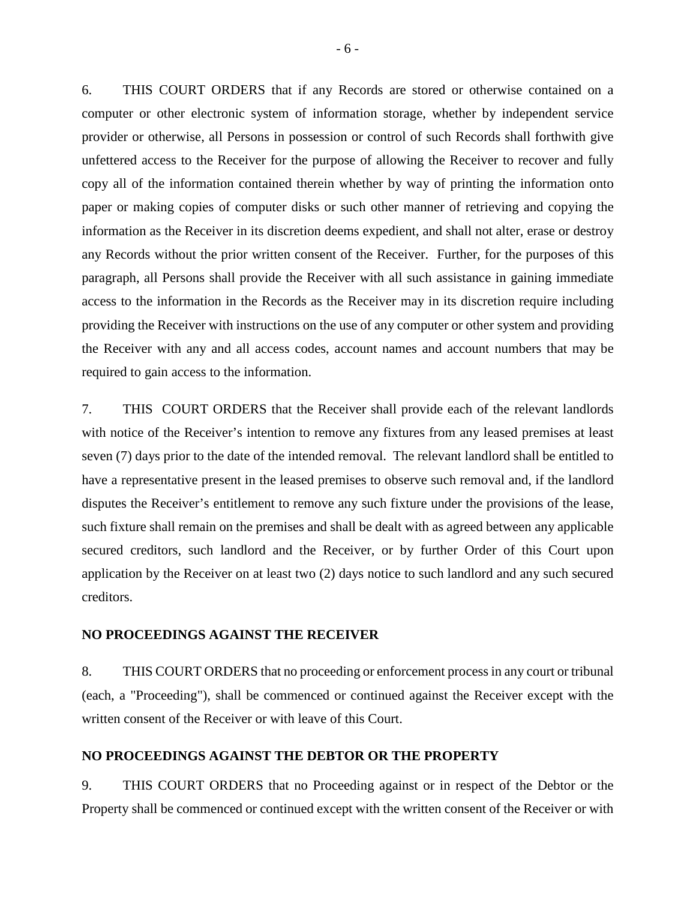6. THIS COURT ORDERS that if any Records are stored or otherwise contained on a computer or other electronic system of information storage, whether by independent service provider or otherwise, all Persons in possession or control of such Records shall forthwith give unfettered access to the Receiver for the purpose of allowing the Receiver to recover and fully copy all of the information contained therein whether by way of printing the information onto paper or making copies of computer disks or such other manner of retrieving and copying the information as the Receiver in its discretion deems expedient, and shall not alter, erase or destroy any Records without the prior written consent of the Receiver. Further, for the purposes of this paragraph, all Persons shall provide the Receiver with all such assistance in gaining immediate access to the information in the Records as the Receiver may in its discretion require including providing the Receiver with instructions on the use of any computer or other system and providing the Receiver with any and all access codes, account names and account numbers that may be required to gain access to the information.

7. THIS COURT ORDERS that the Receiver shall provide each of the relevant landlords with notice of the Receiver's intention to remove any fixtures from any leased premises at least seven (7) days prior to the date of the intended removal. The relevant landlord shall be entitled to have a representative present in the leased premises to observe such removal and, if the landlord disputes the Receiver's entitlement to remove any such fixture under the provisions of the lease, such fixture shall remain on the premises and shall be dealt with as agreed between any applicable secured creditors, such landlord and the Receiver, or by further Order of this Court upon application by the Receiver on at least two (2) days notice to such landlord and any such secured creditors.

#### **NO PROCEEDINGS AGAINST THE RECEIVER**

8. THIS COURT ORDERS that no proceeding or enforcement process in any court or tribunal (each, a "Proceeding"), shall be commenced or continued against the Receiver except with the written consent of the Receiver or with leave of this Court.

### **NO PROCEEDINGS AGAINST THE DEBTOR OR THE PROPERTY**

9. THIS COURT ORDERS that no Proceeding against or in respect of the Debtor or the Property shall be commenced or continued except with the written consent of the Receiver or with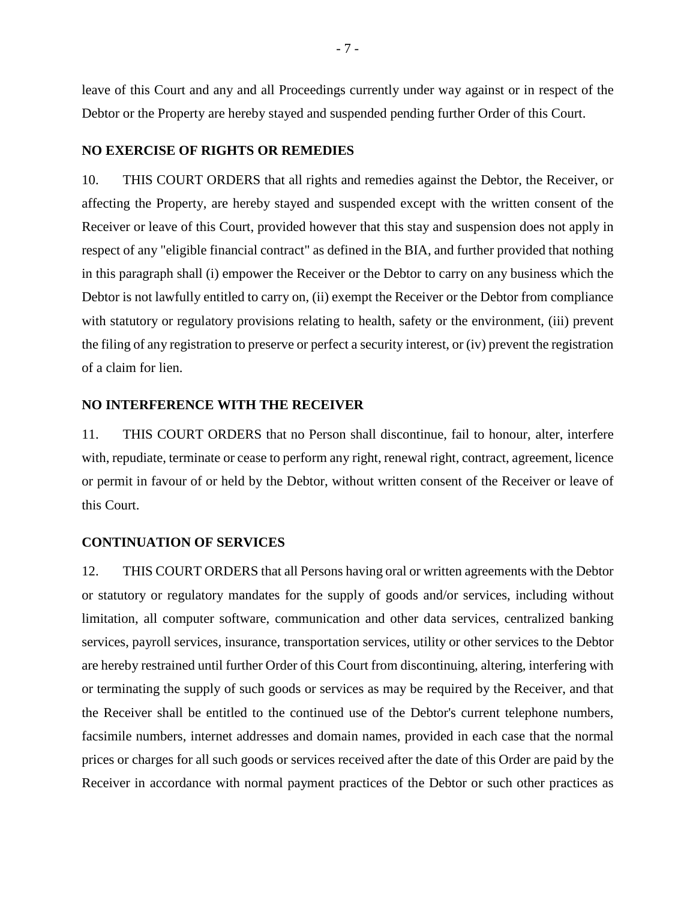leave of this Court and any and all Proceedings currently under way against or in respect of the Debtor or the Property are hereby stayed and suspended pending further Order of this Court.

## **NO EXERCISE OF RIGHTS OR REMEDIES**

10. THIS COURT ORDERS that all rights and remedies against the Debtor, the Receiver, or affecting the Property, are hereby stayed and suspended except with the written consent of the Receiver or leave of this Court, provided however that this stay and suspension does not apply in respect of any "eligible financial contract" as defined in the BIA, and further provided that nothing in this paragraph shall (i) empower the Receiver or the Debtor to carry on any business which the Debtor is not lawfully entitled to carry on, (ii) exempt the Receiver or the Debtor from compliance with statutory or regulatory provisions relating to health, safety or the environment, (iii) prevent the filing of any registration to preserve or perfect a security interest, or (iv) prevent the registration of a claim for lien.

#### **NO INTERFERENCE WITH THE RECEIVER**

11. THIS COURT ORDERS that no Person shall discontinue, fail to honour, alter, interfere with, repudiate, terminate or cease to perform any right, renewal right, contract, agreement, licence or permit in favour of or held by the Debtor, without written consent of the Receiver or leave of this Court.

#### **CONTINUATION OF SERVICES**

12. THIS COURT ORDERS that all Persons having oral or written agreements with the Debtor or statutory or regulatory mandates for the supply of goods and/or services, including without limitation, all computer software, communication and other data services, centralized banking services, payroll services, insurance, transportation services, utility or other services to the Debtor are hereby restrained until further Order of this Court from discontinuing, altering, interfering with or terminating the supply of such goods or services as may be required by the Receiver, and that the Receiver shall be entitled to the continued use of the Debtor's current telephone numbers, facsimile numbers, internet addresses and domain names, provided in each case that the normal prices or charges for all such goods or services received after the date of this Order are paid by the Receiver in accordance with normal payment practices of the Debtor or such other practices as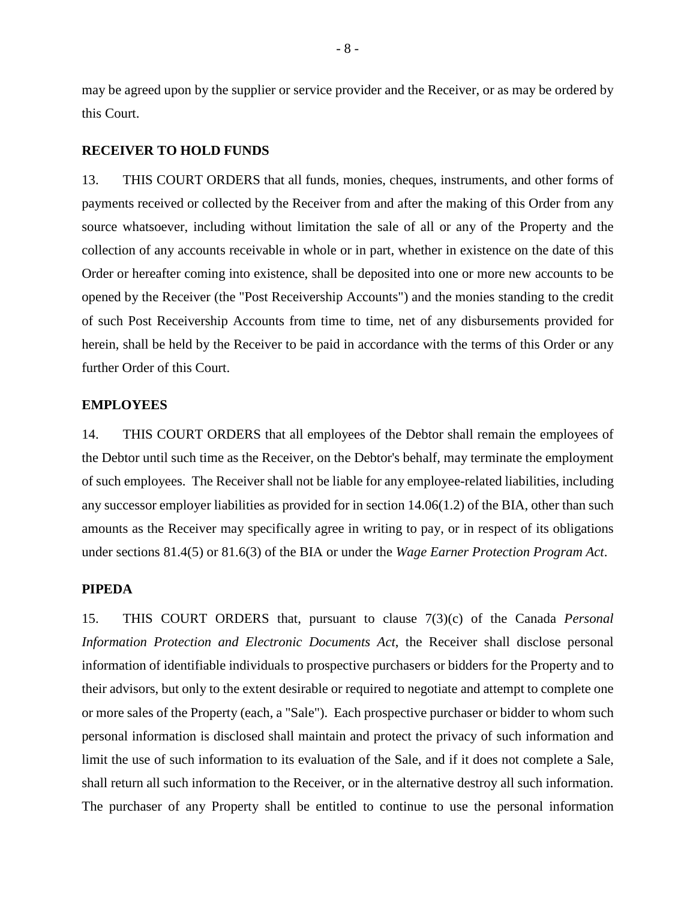may be agreed upon by the supplier or service provider and the Receiver, or as may be ordered by this Court.

## **RECEIVER TO HOLD FUNDS**

13. THIS COURT ORDERS that all funds, monies, cheques, instruments, and other forms of payments received or collected by the Receiver from and after the making of this Order from any source whatsoever, including without limitation the sale of all or any of the Property and the collection of any accounts receivable in whole or in part, whether in existence on the date of this Order or hereafter coming into existence, shall be deposited into one or more new accounts to be opened by the Receiver (the "Post Receivership Accounts") and the monies standing to the credit of such Post Receivership Accounts from time to time, net of any disbursements provided for herein, shall be held by the Receiver to be paid in accordance with the terms of this Order or any further Order of this Court.

#### **EMPLOYEES**

14. THIS COURT ORDERS that all employees of the Debtor shall remain the employees of the Debtor until such time as the Receiver, on the Debtor's behalf, may terminate the employment of such employees. The Receiver shall not be liable for any employee-related liabilities, including any successor employer liabilities as provided for in section 14.06(1.2) of the BIA, other than such amounts as the Receiver may specifically agree in writing to pay, or in respect of its obligations under sections 81.4(5) or 81.6(3) of the BIA or under the *Wage Earner Protection Program Act*.

## **PIPEDA**

15. THIS COURT ORDERS that, pursuant to clause 7(3)(c) of the Canada *Personal Information Protection and Electronic Documents Act*, the Receiver shall disclose personal information of identifiable individuals to prospective purchasers or bidders for the Property and to their advisors, but only to the extent desirable or required to negotiate and attempt to complete one or more sales of the Property (each, a "Sale"). Each prospective purchaser or bidder to whom such personal information is disclosed shall maintain and protect the privacy of such information and limit the use of such information to its evaluation of the Sale, and if it does not complete a Sale, shall return all such information to the Receiver, or in the alternative destroy all such information. The purchaser of any Property shall be entitled to continue to use the personal information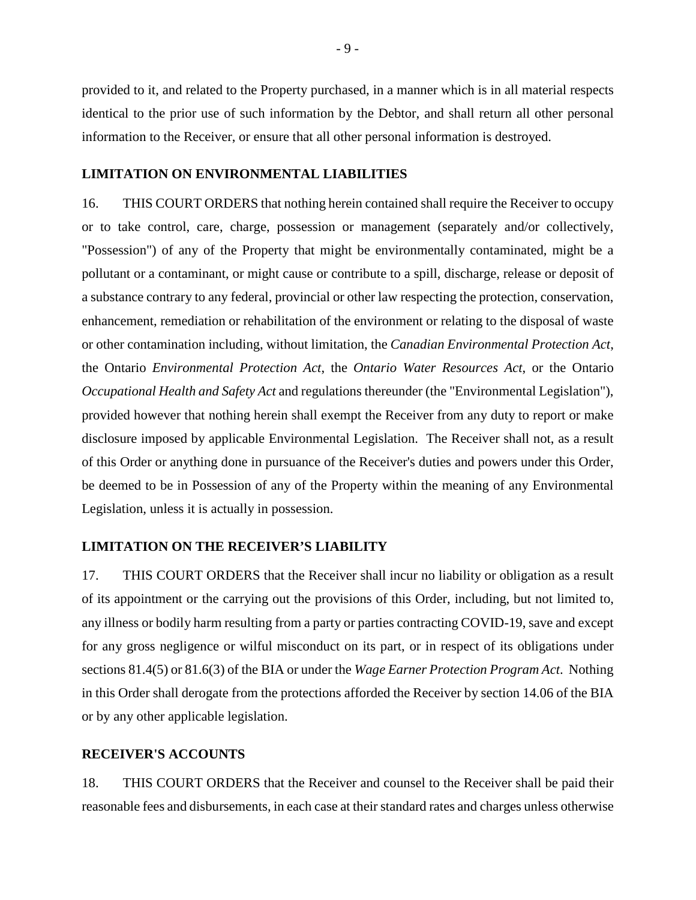provided to it, and related to the Property purchased, in a manner which is in all material respects identical to the prior use of such information by the Debtor, and shall return all other personal information to the Receiver, or ensure that all other personal information is destroyed.

### **LIMITATION ON ENVIRONMENTAL LIABILITIES**

16. THIS COURT ORDERS that nothing herein contained shall require the Receiver to occupy or to take control, care, charge, possession or management (separately and/or collectively, "Possession") of any of the Property that might be environmentally contaminated, might be a pollutant or a contaminant, or might cause or contribute to a spill, discharge, release or deposit of a substance contrary to any federal, provincial or other law respecting the protection, conservation, enhancement, remediation or rehabilitation of the environment or relating to the disposal of waste or other contamination including, without limitation, the *Canadian Environmental Protection Act*, the Ontario *Environmental Protection Act*, the *Ontario Water Resources Act*, or the Ontario *Occupational Health and Safety Act* and regulations thereunder (the "Environmental Legislation"), provided however that nothing herein shall exempt the Receiver from any duty to report or make disclosure imposed by applicable Environmental Legislation. The Receiver shall not, as a result of this Order or anything done in pursuance of the Receiver's duties and powers under this Order, be deemed to be in Possession of any of the Property within the meaning of any Environmental Legislation, unless it is actually in possession.

## **LIMITATION ON THE RECEIVER'S LIABILITY**

17. THIS COURT ORDERS that the Receiver shall incur no liability or obligation as a result of its appointment or the carrying out the provisions of this Order, including, but not limited to, any illness or bodily harm resulting from a party or parties contracting COVID-19, save and except for any gross negligence or wilful misconduct on its part, or in respect of its obligations under sections 81.4(5) or 81.6(3) of the BIA or under the *Wage Earner Protection Program Act*. Nothing in this Order shall derogate from the protections afforded the Receiver by section 14.06 of the BIA or by any other applicable legislation.

#### **RECEIVER'S ACCOUNTS**

18. THIS COURT ORDERS that the Receiver and counsel to the Receiver shall be paid their reasonable fees and disbursements, in each case at their standard rates and charges unless otherwise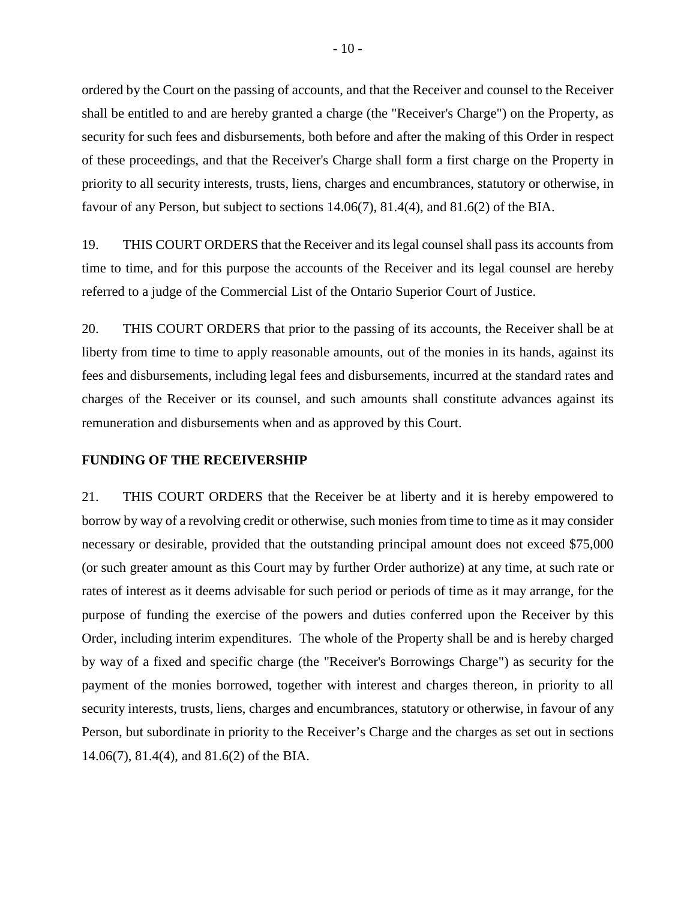ordered by the Court on the passing of accounts, and that the Receiver and counsel to the Receiver shall be entitled to and are hereby granted a charge (the "Receiver's Charge") on the Property, as security for such fees and disbursements, both before and after the making of this Order in respect of these proceedings, and that the Receiver's Charge shall form a first charge on the Property in priority to all security interests, trusts, liens, charges and encumbrances, statutory or otherwise, in favour of any Person, but subject to sections 14.06(7), 81.4(4), and 81.6(2) of the BIA.

19. THIS COURT ORDERS that the Receiver and its legal counsel shall pass its accounts from time to time, and for this purpose the accounts of the Receiver and its legal counsel are hereby referred to a judge of the Commercial List of the Ontario Superior Court of Justice.

20. THIS COURT ORDERS that prior to the passing of its accounts, the Receiver shall be at liberty from time to time to apply reasonable amounts, out of the monies in its hands, against its fees and disbursements, including legal fees and disbursements, incurred at the standard rates and charges of the Receiver or its counsel, and such amounts shall constitute advances against its remuneration and disbursements when and as approved by this Court.

#### **FUNDING OF THE RECEIVERSHIP**

21. THIS COURT ORDERS that the Receiver be at liberty and it is hereby empowered to borrow by way of a revolving credit or otherwise, such monies from time to time as it may consider necessary or desirable, provided that the outstanding principal amount does not exceed \$75,000 (or such greater amount as this Court may by further Order authorize) at any time, at such rate or rates of interest as it deems advisable for such period or periods of time as it may arrange, for the purpose of funding the exercise of the powers and duties conferred upon the Receiver by this Order, including interim expenditures. The whole of the Property shall be and is hereby charged by way of a fixed and specific charge (the "Receiver's Borrowings Charge") as security for the payment of the monies borrowed, together with interest and charges thereon, in priority to all security interests, trusts, liens, charges and encumbrances, statutory or otherwise, in favour of any Person, but subordinate in priority to the Receiver's Charge and the charges as set out in sections 14.06(7), 81.4(4), and 81.6(2) of the BIA.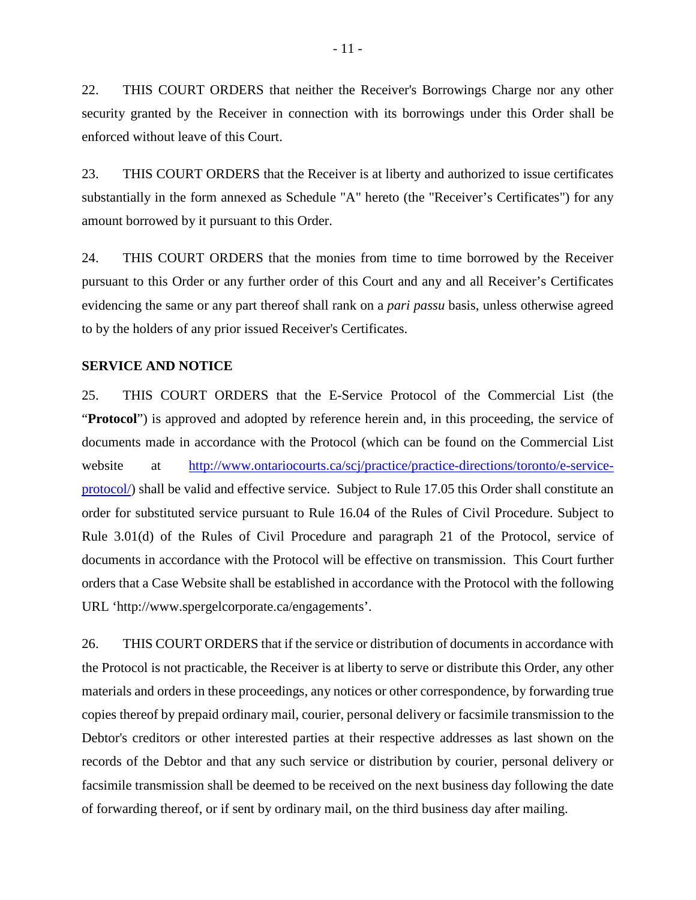22. THIS COURT ORDERS that neither the Receiver's Borrowings Charge nor any other security granted by the Receiver in connection with its borrowings under this Order shall be enforced without leave of this Court.

23. THIS COURT ORDERS that the Receiver is at liberty and authorized to issue certificates substantially in the form annexed as Schedule "A" hereto (the "Receiver's Certificates") for any amount borrowed by it pursuant to this Order.

24. THIS COURT ORDERS that the monies from time to time borrowed by the Receiver pursuant to this Order or any further order of this Court and any and all Receiver's Certificates evidencing the same or any part thereof shall rank on a *pari passu* basis, unless otherwise agreed to by the holders of any prior issued Receiver's Certificates.

#### **SERVICE AND NOTICE**

25. THIS COURT ORDERS that the E-Service Protocol of the Commercial List (the "**Protocol**") is approved and adopted by reference herein and, in this proceeding, the service of documents made in accordance with the Protocol (which can be found on the Commercial List website at http://www.ontariocourts.ca/scj/practice-practice-directions/toronto/e-serviceprotocol/) shall be valid and effective service. Subject to Rule 17.05 this Order shall constitute an order for substituted service pursuant to Rule 16.04 of the Rules of Civil Procedure. Subject to Rule 3.01(d) of the Rules of Civil Procedure and paragraph 21 of the Protocol, service of documents in accordance with the Protocol will be effective on transmission. This Court further orders that a Case Website shall be established in accordance with the Protocol with the following URL 'http://www.spergelcorporate.ca/engagements'.

26. THIS COURT ORDERS that if the service or distribution of documents in accordance with the Protocol is not practicable, the Receiver is at liberty to serve or distribute this Order, any other materials and orders in these proceedings, any notices or other correspondence, by forwarding true copies thereof by prepaid ordinary mail, courier, personal delivery or facsimile transmission to the Debtor's creditors or other interested parties at their respective addresses as last shown on the records of the Debtor and that any such service or distribution by courier, personal delivery or facsimile transmission shall be deemed to be received on the next business day following the date of forwarding thereof, or if sent by ordinary mail, on the third business day after mailing.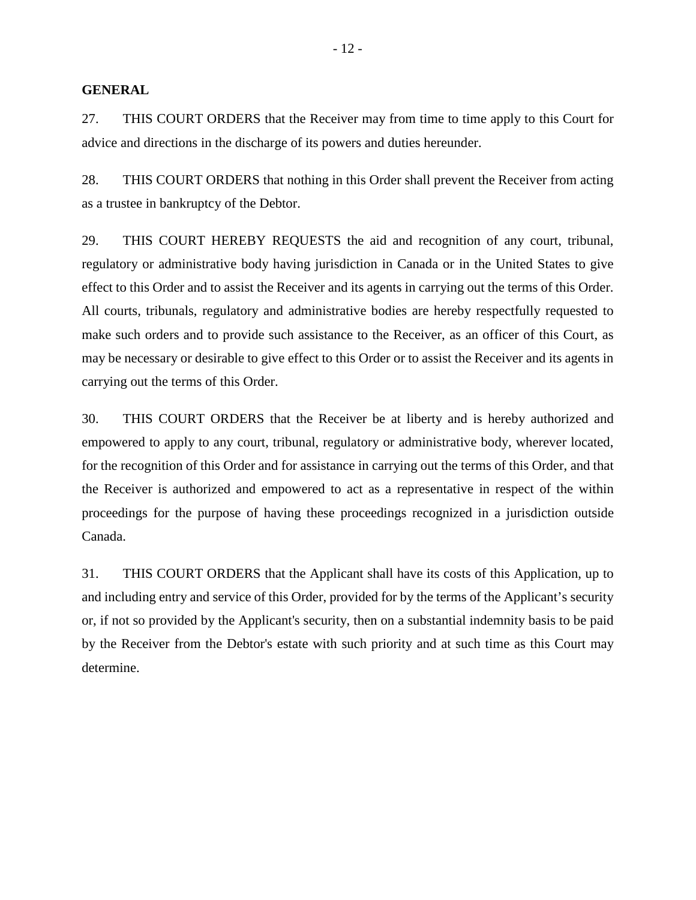### **GENERAL**

27. THIS COURT ORDERS that the Receiver may from time to time apply to this Court for advice and directions in the discharge of its powers and duties hereunder.

28. THIS COURT ORDERS that nothing in this Order shall prevent the Receiver from acting as a trustee in bankruptcy of the Debtor.

29. THIS COURT HEREBY REQUESTS the aid and recognition of any court, tribunal, regulatory or administrative body having jurisdiction in Canada or in the United States to give effect to this Order and to assist the Receiver and its agents in carrying out the terms of this Order. All courts, tribunals, regulatory and administrative bodies are hereby respectfully requested to make such orders and to provide such assistance to the Receiver, as an officer of this Court, as may be necessary or desirable to give effect to this Order or to assist the Receiver and its agents in carrying out the terms of this Order.

30. THIS COURT ORDERS that the Receiver be at liberty and is hereby authorized and empowered to apply to any court, tribunal, regulatory or administrative body, wherever located, for the recognition of this Order and for assistance in carrying out the terms of this Order, and that the Receiver is authorized and empowered to act as a representative in respect of the within proceedings for the purpose of having these proceedings recognized in a jurisdiction outside Canada.

31. THIS COURT ORDERS that the Applicant shall have its costs of this Application, up to and including entry and service of this Order, provided for by the terms of the Applicant's security or, if not so provided by the Applicant's security, then on a substantial indemnity basis to be paid by the Receiver from the Debtor's estate with such priority and at such time as this Court may determine.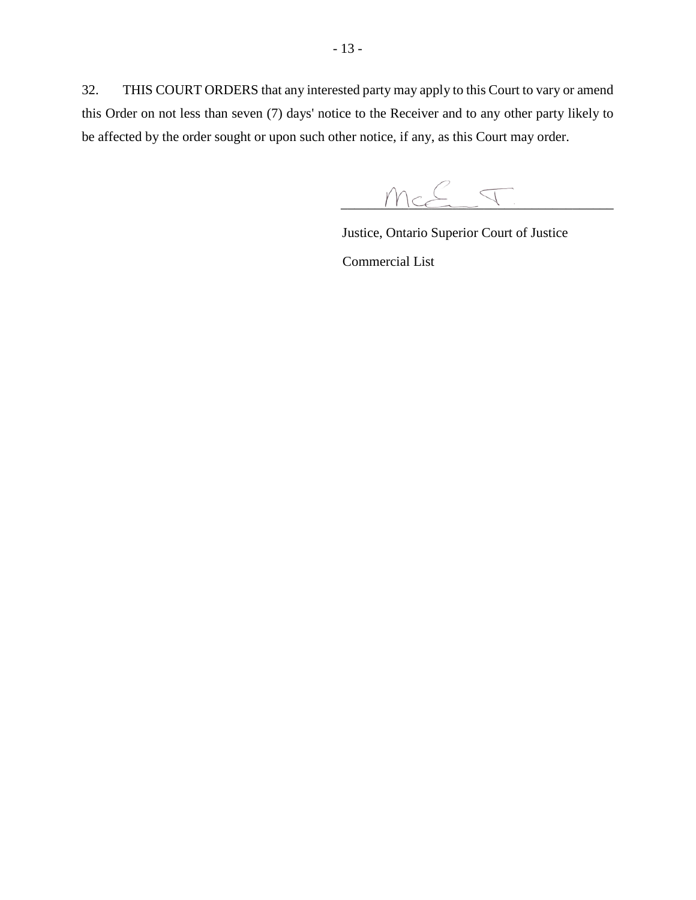32. THIS COURT ORDERS that any interested party may apply to this Court to vary or amend this Order on not less than seven (7) days' notice to the Receiver and to any other party likely to be affected by the order sought or upon such other notice, if any, as this Court may order.

 $\curvearrowright$  $TICCE\_Y$ 

 Justice, Ontario Superior Court of Justice Commercial List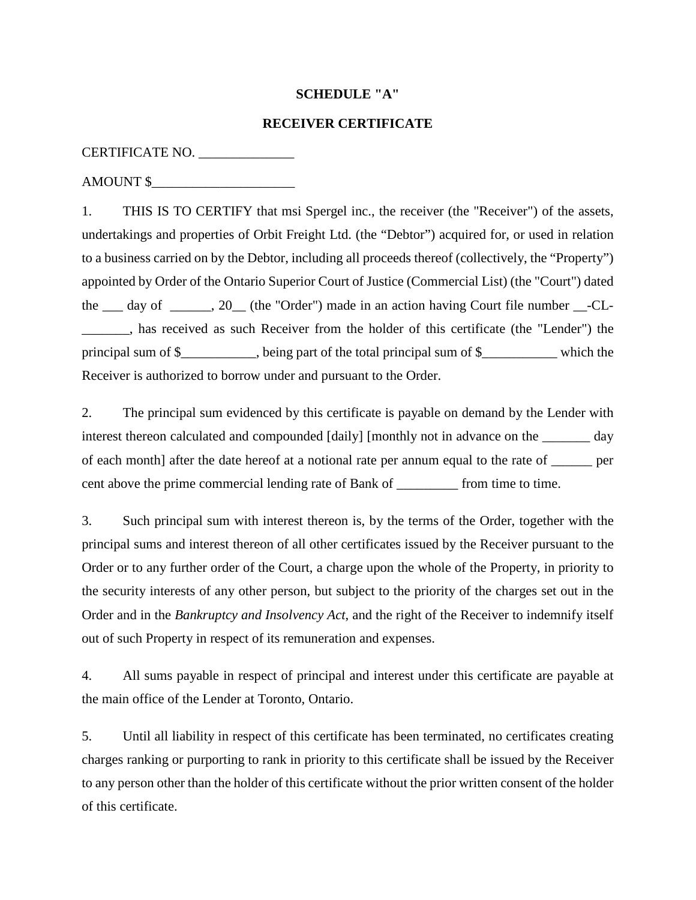## **SCHEDULE "A"**

### **RECEIVER CERTIFICATE**

## CERTIFICATE NO. \_\_\_\_\_\_\_\_\_\_\_\_\_\_

### AMOUNT \$\_\_\_\_\_\_\_\_\_\_\_\_\_\_\_\_\_\_\_\_\_

1. THIS IS TO CERTIFY that msi Spergel inc., the receiver (the "Receiver") of the assets, undertakings and properties of Orbit Freight Ltd. (the "Debtor") acquired for, or used in relation to a business carried on by the Debtor, including all proceeds thereof (collectively, the "Property") appointed by Order of the Ontario Superior Court of Justice (Commercial List) (the "Court") dated the \_\_\_ day of \_\_\_\_\_, 20\_\_ (the "Order") made in an action having Court file number \_\_-CL-\_\_\_\_\_\_\_, has received as such Receiver from the holder of this certificate (the "Lender") the principal sum of \$\_\_\_\_\_\_\_\_\_, being part of the total principal sum of \$\_\_\_\_\_\_\_\_\_\_ which the Receiver is authorized to borrow under and pursuant to the Order.

2. The principal sum evidenced by this certificate is payable on demand by the Lender with interest thereon calculated and compounded [daily] [monthly not in advance on the \_\_\_\_\_\_\_ day of each month] after the date hereof at a notional rate per annum equal to the rate of \_\_\_\_\_\_ per cent above the prime commercial lending rate of Bank of \_\_\_\_\_\_\_\_\_ from time to time.

3. Such principal sum with interest thereon is, by the terms of the Order, together with the principal sums and interest thereon of all other certificates issued by the Receiver pursuant to the Order or to any further order of the Court, a charge upon the whole of the Property, in priority to the security interests of any other person, but subject to the priority of the charges set out in the Order and in the *Bankruptcy and Insolvency Act*, and the right of the Receiver to indemnify itself out of such Property in respect of its remuneration and expenses.

4. All sums payable in respect of principal and interest under this certificate are payable at the main office of the Lender at Toronto, Ontario.

5. Until all liability in respect of this certificate has been terminated, no certificates creating charges ranking or purporting to rank in priority to this certificate shall be issued by the Receiver to any person other than the holder of this certificate without the prior written consent of the holder of this certificate.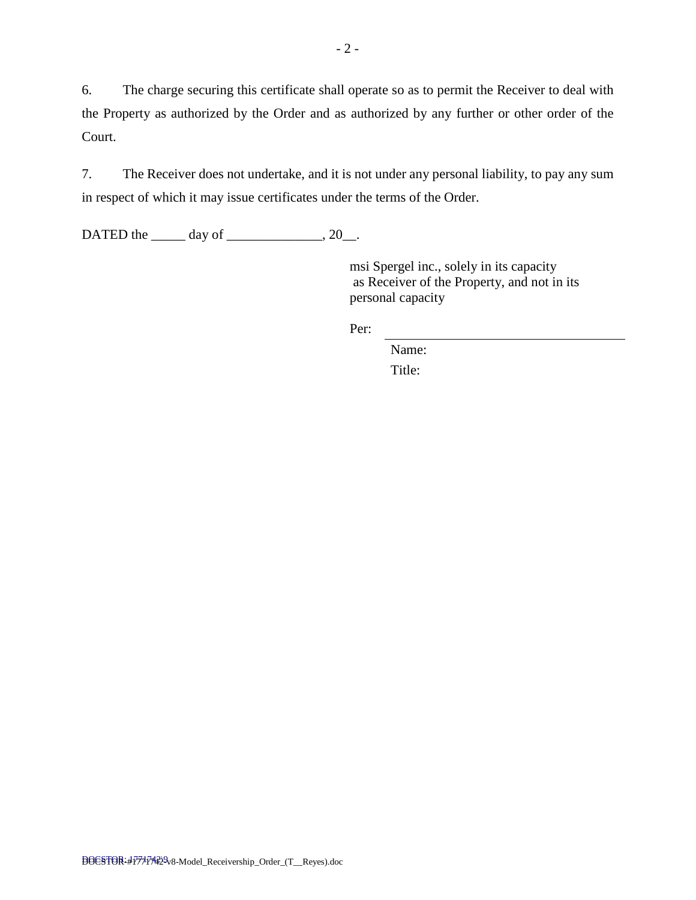6. The charge securing this certificate shall operate so as to permit the Receiver to deal with the Property as authorized by the Order and as authorized by any further or other order of the Court.

7. The Receiver does not undertake, and it is not under any personal liability, to pay any sum in respect of which it may issue certificates under the terms of the Order.

DATED the  $\_\_\_\_\$  day of  $\_\_\_\_\_\_\$ , 20 $\_\_\_\$ .

msi Spergel inc., solely in its capacity as Receiver of the Property, and not in its personal capacity

Per:

Name: Title: